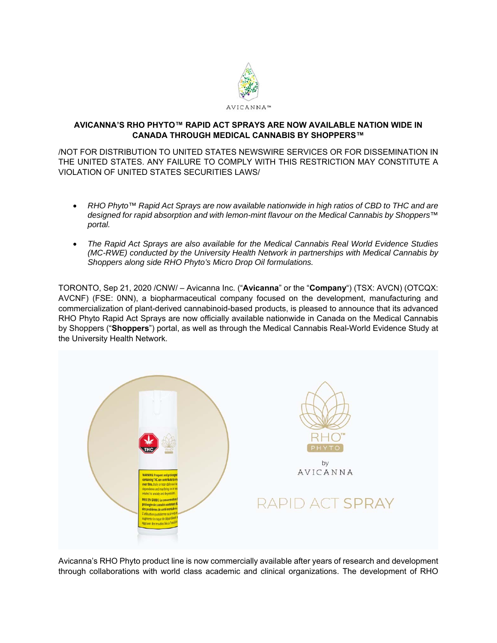

# **AVICANNA'S RHO PHYTO™ RAPID ACT SPRAYS ARE NOW AVAILABLE NATION WIDE IN CANADA THROUGH MEDICAL CANNABIS BY SHOPPERS™**

/NOT FOR DISTRIBUTION TO UNITED STATES NEWSWIRE SERVICES OR FOR DISSEMINATION IN THE UNITED STATES. ANY FAILURE TO COMPLY WITH THIS RESTRICTION MAY CONSTITUTE A VIOLATION OF UNITED STATES SECURITIES LAWS/

- *RHO Phyto™ Rapid Act Sprays are now available nationwide in high ratios of CBD to THC and are designed for rapid absorption and with lemon-mint flavour on the Medical Cannabis by Shoppers™ portal.*
- *The Rapid Act Sprays are also available for the Medical Cannabis Real World Evidence Studies (MC-RWE) conducted by the University Health Network in partnerships with Medical Cannabis by Shoppers along side RHO Phyto's Micro Drop Oil formulations.*

TORONTO, Sep 21, 2020 /CNW/ – Avicanna Inc. ("**Avicanna**" or the "**Company**") (TSX: AVCN) (OTCQX: AVCNF) (FSE: 0NN), a biopharmaceutical company focused on the development, manufacturing and commercialization of plant-derived cannabinoid-based products, is pleased to announce that its advanced RHO Phyto Rapid Act Sprays are now officially available nationwide in Canada on the Medical Cannabis by Shoppers ("**Shoppers**") portal, as well as through the Medical Cannabis Real-World Evidence Study at the University Health Network.



Avicanna's RHO Phyto product line is now commercially available after years of research and development through collaborations with world class academic and clinical organizations. The development of RHO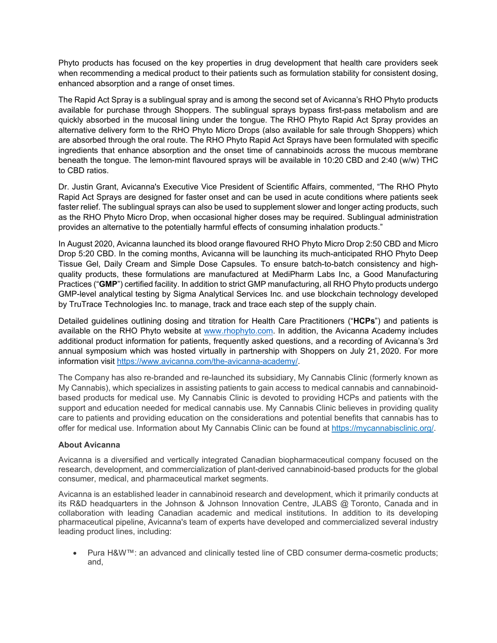Phyto products has focused on the key properties in drug development that health care providers seek when recommending a medical product to their patients such as formulation stability for consistent dosing, enhanced absorption and a range of onset times.

The Rapid Act Spray is a sublingual spray and is among the second set of Avicanna's RHO Phyto products available for purchase through Shoppers. The sublingual sprays bypass first-pass metabolism and are quickly absorbed in the mucosal lining under the tongue. The RHO Phyto Rapid Act Spray provides an alternative delivery form to the RHO Phyto Micro Drops (also available for sale through Shoppers) which are absorbed through the oral route. The RHO Phyto Rapid Act Sprays have been formulated with specific ingredients that enhance absorption and the onset time of cannabinoids across the mucous membrane beneath the tongue. The lemon-mint flavoured sprays will be available in 10:20 CBD and 2:40 (w/w) THC to CBD ratios.

Dr. Justin Grant, Avicanna's Executive Vice President of Scientific Affairs, commented, "The RHO Phyto Rapid Act Sprays are designed for faster onset and can be used in acute conditions where patients seek faster relief. The sublingual sprays can also be used to supplement slower and longer acting products, such as the RHO Phyto Micro Drop, when occasional higher doses may be required. Sublingual administration provides an alternative to the potentially harmful effects of consuming inhalation products."

In August 2020, Avicanna launched its blood orange flavoured RHO Phyto Micro Drop 2:50 CBD and Micro Drop 5:20 CBD. In the coming months, Avicanna will be launching its much-anticipated RHO Phyto Deep Tissue Gel, Daily Cream and Simple Dose Capsules. To ensure batch-to-batch consistency and highquality products, these formulations are manufactured at MediPharm Labs Inc, a Good Manufacturing Practices ("**GMP**") certified facility. In addition to strict GMP manufacturing, all RHO Phyto products undergo GMP-level analytical testing by Sigma Analytical Services Inc. and use blockchain technology developed by TruTrace Technologies Inc. to manage, track and trace each step of the supply chain.

Detailed guidelines outlining dosing and titration for Health Care Practitioners ("**HCPs**") and patients is available on the RHO Phyto website at www.rhophyto.com. In addition, the Avicanna Academy includes additional product information for patients, frequently asked questions, and a recording of Avicanna's 3rd annual symposium which was hosted virtually in partnership with Shoppers on July 21, 2020. For more information visit https://www.avicanna.com/the-avicanna-academy/.

The Company has also re-branded and re-launched its subsidiary, My Cannabis Clinic (formerly known as My Cannabis), which specializes in assisting patients to gain access to medical cannabis and cannabinoidbased products for medical use. My Cannabis Clinic is devoted to providing HCPs and patients with the support and education needed for medical cannabis use. My Cannabis Clinic believes in providing quality care to patients and providing education on the considerations and potential benefits that cannabis has to offer for medical use. Information about My Cannabis Clinic can be found at https://mycannabisclinic.org/.

# **About Avicanna**

Avicanna is a diversified and vertically integrated Canadian biopharmaceutical company focused on the research, development, and commercialization of plant-derived cannabinoid-based products for the global consumer, medical, and pharmaceutical market segments.

Avicanna is an established leader in cannabinoid research and development, which it primarily conducts at its R&D headquarters in the Johnson & Johnson Innovation Centre, JLABS @ Toronto, Canada and in collaboration with leading Canadian academic and medical institutions. In addition to its developing pharmaceutical pipeline, Avicanna's team of experts have developed and commercialized several industry leading product lines, including:

 Pura H&W™: an advanced and clinically tested line of CBD consumer derma-cosmetic products; and,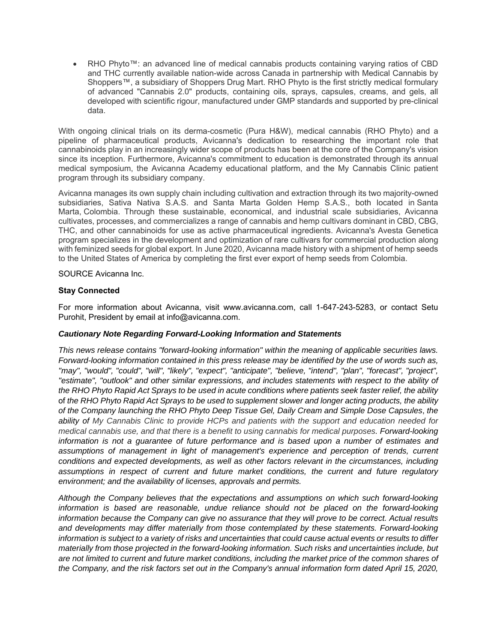RHO Phyto™: an advanced line of medical cannabis products containing varying ratios of CBD and THC currently available nation-wide across Canada in partnership with Medical Cannabis by Shoppers™, a subsidiary of Shoppers Drug Mart. RHO Phyto is the first strictly medical formulary of advanced "Cannabis 2.0" products, containing oils, sprays, capsules, creams, and gels, all developed with scientific rigour, manufactured under GMP standards and supported by pre-clinical data.

With ongoing clinical trials on its derma-cosmetic (Pura H&W), medical cannabis (RHO Phyto) and a pipeline of pharmaceutical products, Avicanna's dedication to researching the important role that cannabinoids play in an increasingly wider scope of products has been at the core of the Company's vision since its inception. Furthermore, Avicanna's commitment to education is demonstrated through its annual medical symposium, the Avicanna Academy educational platform, and the My Cannabis Clinic patient program through its subsidiary company.

Avicanna manages its own supply chain including cultivation and extraction through its two majority-owned subsidiaries, Sativa Nativa S.A.S. and Santa Marta Golden Hemp S.A.S., both located in Santa Marta, Colombia. Through these sustainable, economical, and industrial scale subsidiaries, Avicanna cultivates, processes, and commercializes a range of cannabis and hemp cultivars dominant in CBD, CBG, THC, and other cannabinoids for use as active pharmaceutical ingredients. Avicanna's Avesta Genetica program specializes in the development and optimization of rare cultivars for commercial production along with feminized seeds for global export. In June 2020, Avicanna made history with a shipment of hemp seeds to the United States of America by completing the first ever export of hemp seeds from Colombia.

### SOURCE Avicanna Inc.

### **Stay Connected**

For more information about Avicanna, visit www.avicanna.com, call 1-647-243-5283, or contact Setu Purohit, President by email at info@avicanna.com.

#### *Cautionary Note Regarding Forward-Looking Information and Statements*

*This news release contains "forward-looking information" within the meaning of applicable securities laws. Forward-looking information contained in this press release may be identified by the use of words such as, "may", "would", "could", "will", "likely", "expect", "anticipate", "believe, "intend", "plan", "forecast", "project", "estimate", "outlook" and other similar expressions, and includes statements with respect to the ability of the RHO Phyto Rapid Act Sprays to be used in acute conditions where patients seek faster relief, the ability*  of *the RHO Phyto Rapid Act Sprays to be used to supplement slower and longer acting products, the ability of the Company launching the RHO Phyto Deep Tissue Gel, Daily Cream and Simple Dose Capsules*, *the ability of My Cannabis Clinic to provide HCPs and patients with the support and education needed for medical cannabis use, and that there is a benefit to using cannabis for medical purposes. Forward-looking information is not a guarantee of future performance and is based upon a number of estimates and*  assumptions of management in light of management's experience and perception of trends, current *conditions and expected developments, as well as other factors relevant in the circumstances, including assumptions in respect of current and future market conditions, the current and future regulatory environment; and the availability of licenses, approvals and permits.* 

*Although the Company believes that the expectations and assumptions on which such forward-looking information is based are reasonable, undue reliance should not be placed on the forward-looking information because the Company can give no assurance that they will prove to be correct. Actual results and developments may differ materially from those contemplated by these statements. Forward-looking information is subject to a variety of risks and uncertainties that could cause actual events or results to differ materially from those projected in the forward-looking information. Such risks and uncertainties include, but are not limited to current and future market conditions, including the market price of the common shares of the Company, and the risk factors set out in the Company's annual information form dated April 15, 2020,*